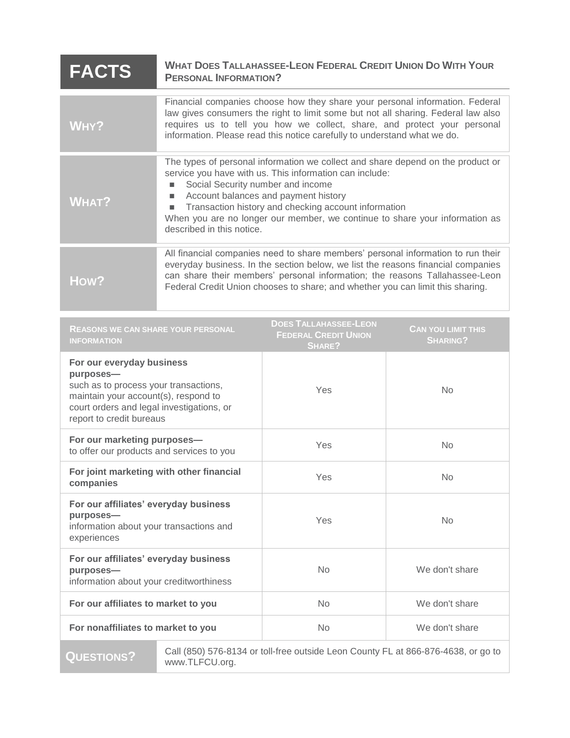| <b>FACTS</b>                                                                                                                                                                                     | <b>WHAT DOES TALLAHASSEE-LEON FEDERAL CREDIT UNION DO WITH YOUR</b><br><b>PERSONAL INFORMATION?</b>                                                                                                                                                                                                                                                                                              |                                                                       |                                              |
|--------------------------------------------------------------------------------------------------------------------------------------------------------------------------------------------------|--------------------------------------------------------------------------------------------------------------------------------------------------------------------------------------------------------------------------------------------------------------------------------------------------------------------------------------------------------------------------------------------------|-----------------------------------------------------------------------|----------------------------------------------|
| WHY?                                                                                                                                                                                             | Financial companies choose how they share your personal information. Federal<br>law gives consumers the right to limit some but not all sharing. Federal law also<br>requires us to tell you how we collect, share, and protect your personal<br>information. Please read this notice carefully to understand what we do.                                                                        |                                                                       |                                              |
| <b>WHAT?</b>                                                                                                                                                                                     | The types of personal information we collect and share depend on the product or<br>service you have with us. This information can include:<br>Social Security number and income<br>Account balances and payment history<br>Transaction history and checking account information<br>ш<br>When you are no longer our member, we continue to share your information as<br>described in this notice. |                                                                       |                                              |
| How?                                                                                                                                                                                             | All financial companies need to share members' personal information to run their<br>everyday business. In the section below, we list the reasons financial companies<br>can share their members' personal information; the reasons Tallahassee-Leon<br>Federal Credit Union chooses to share; and whether you can limit this sharing.                                                            |                                                                       |                                              |
| <b>REASONS WE CAN SHARE YOUR PERSONAL</b><br><b>INFORMATION</b>                                                                                                                                  |                                                                                                                                                                                                                                                                                                                                                                                                  | <b>DOES TALLAHASSEE-LEON</b><br><b>FEDERAL CREDIT UNION</b><br>SHARE? | <b>CAN YOU LIMIT THIS</b><br><b>SHARING?</b> |
| For our everyday business<br>purposes-<br>such as to process your transactions,<br>maintain your account(s), respond to<br>court orders and legal investigations, or<br>report to credit bureaus |                                                                                                                                                                                                                                                                                                                                                                                                  | Yes                                                                   | <b>No</b>                                    |
| For our marketing purposes-<br>to offer our products and services to you                                                                                                                         |                                                                                                                                                                                                                                                                                                                                                                                                  | Yes                                                                   | <b>No</b>                                    |
| For joint marketing with other financial<br>companies                                                                                                                                            |                                                                                                                                                                                                                                                                                                                                                                                                  | Yes                                                                   | <b>No</b>                                    |
| For our affiliates' everyday business<br>purposes-<br>information about your transactions and<br>experiences                                                                                     |                                                                                                                                                                                                                                                                                                                                                                                                  | Yes                                                                   | No                                           |
| For our affiliates' everyday business<br>purposes-<br>information about your creditworthiness                                                                                                    |                                                                                                                                                                                                                                                                                                                                                                                                  | <b>No</b>                                                             | We don't share                               |
| For our affiliates to market to you                                                                                                                                                              |                                                                                                                                                                                                                                                                                                                                                                                                  | <b>No</b>                                                             | We don't share                               |
| For nonaffiliates to market to you                                                                                                                                                               |                                                                                                                                                                                                                                                                                                                                                                                                  | No                                                                    | We don't share                               |

**QUESTIONS?**

Call (850) 576-8134 or toll-free outside Leon County FL at 866-876-4638, or go to www.TLFCU.org.